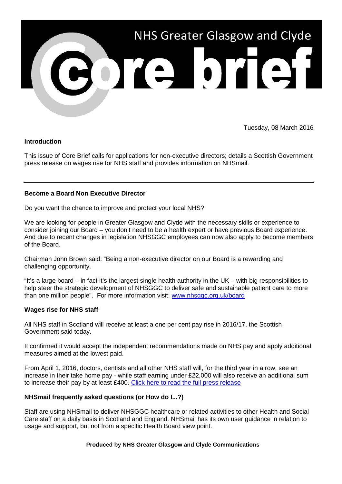

Tuesday, 08 March 2016

# **Introduction**

This issue of Core Brief calls for applications for non-executive directors; details a Scottish Government press release on wages rise for NHS staff and provides information on NHSmail.

# **Become a Board Non Executive Director**

Do you want the chance to improve and protect your local NHS?

We are looking for people in Greater Glasgow and Clyde with the necessary skills or experience to consider joining our Board – you don't need to be a health expert or have previous Board experience. And due to recent changes in legislation NHSGGC employees can now also apply to become members of the Board.

Chairman John Brown said: "Being a non-executive director on our Board is a rewarding and challenging opportunity.

"It's a large board – in fact it's the largest single health authority in the UK – with big responsibilities to help steer the strategic development of NHSGGC to deliver safe and sustainable patient care to more than one million people". For more information visit: [www.nhsggc.org.uk/board](http://www.nhsggc.org.uk/board)

### **Wages rise for NHS staff**

All NHS staff in Scotland will receive at least a one per cent pay rise in 2016/17, the Scottish Government said today.

It confirmed it would accept the independent recommendations made on NHS pay and apply additional measures aimed at the lowest paid.

From April 1, 2016, doctors, dentists and all other NHS staff will, for the third year in a row, see an increase in their take home pay - while staff earning under £22,000 will also receive an additional sum to increase their pay by at least £400. [Click here to read the full press release](http://news.scotland.gov.uk/News/Wages-rise-for-NHS-staff-237c.aspx)

# **NHSmail frequently asked questions (or How do I...?)**

Staff are using NHSmail to deliver NHSGGC healthcare or related activities to other Health and Social Care staff on a daily basis in Scotland and England. NHSmail has its own user guidance in relation to usage and support, but not from a specific Health Board view point.

### **Produced by NHS Greater Glasgow and Clyde Communications**